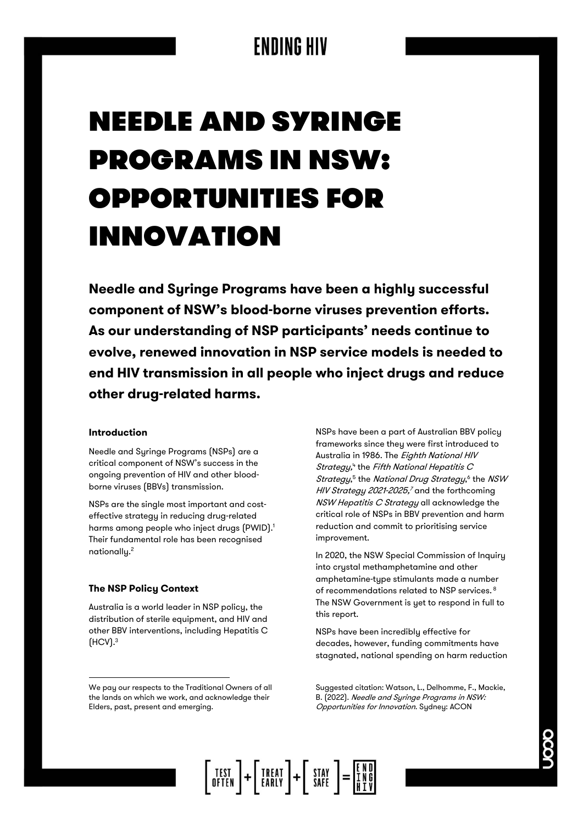# **NEEDLE AND SYRINGE PROGRAMS IN NSW: OPPORTUNITIES FOR INNOVATION**

**Needle and Syringe Programs have been a highly successful component of NSW's blood-borne viruses prevention efforts. As our understanding of NSP participants' needs continue to evolve, renewed innovation in NSP service models is needed to end HIV transmission in all people who inject drugs and reduce other drug-related harms.** 

#### **Introduction**

Needle and Syringe Programs (NSPs) are a critical component of NSW's success in the ongoing prevention of HIV and other bloodborne viruses (BBVs) transmission.

NSPs are the single most important and costeffective strategy in reducing drug-related harms among people who inject drugs (PWID). 1 Their fundamental role has been recognised nationally.<sup>2</sup>

#### **The NSP Policy Context**

Australia is a world leader in NSP policy, the distribution of sterile equipment, and HIV and other BBV interventions, including Hepatitis C  $(HCV).<sup>3</sup>$ 

NSPs have been a part of Australian BBV policy frameworks since they were first introduced to Australia in 1986. The Eighth National HIV Strategy,<sup>4</sup> the Fifth National Hepatitis C Strategy,<sup>5</sup> the National Drug Strategy,<sup>6</sup> the NSW *HIV Strategy 2021-2025,<sup>7</sup>* and the forthcoming NSW Hepatitis C Strategy all acknowledge the critical role of NSPs in BBV prevention and harm reduction and commit to prioritising service improvement.

In 2020, the NSW Special Commission of Inquiry into crystal methamphetamine and other amphetamine-type stimulants made a number of recommendations related to NSP services. <sup>8</sup> The NSW Government is yet to respond in full to this report.

NSPs have been incredibly effective for decades, however, funding commitments have stagnated, national spending on harm reduction



We pay our respects to the Traditional Owners of all the lands on which we work, and acknowledge their Elders, past, present and emerging.

Suggested citation: Watson, L., Delhomme, F., Mackie, B. (2022). Needle and Syringe Programs in NSW: Opportunities for Innovation. Sydney: ACON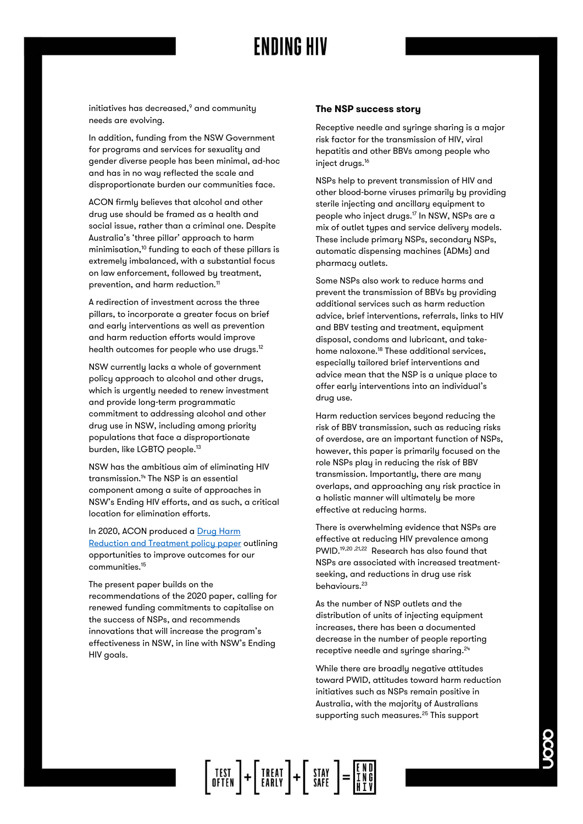initiatives has decreased, <sup>9</sup> and community needs are evolving.

In addition, funding from the NSW Government for programs and services for sexuality and gender diverse people has been minimal, ad-hoc and has in no way reflected the scale and disproportionate burden our communities face.

ACON firmly believes that alcohol and other drug use should be framed as a health and social issue, rather than a criminal one. Despite Australia's 'three pillar' approach to harm minimisation, $10$  funding to each of these pillars is extremely imbalanced, with a substantial focus on law enforcement, followed by treatment, prevention, and harm reduction.<sup>11</sup>

A redirection of investment across the three pillars, to incorporate a greater focus on brief and early interventions as well as prevention and harm reduction efforts would improve health outcomes for people who use drugs.<sup>12</sup>

NSW currently lacks a whole of government policy approach to alcohol and other drugs, which is urgently needed to renew investment and provide long-term programmatic commitment to addressing alcohol and other drug use in NSW, including among priority populations that face a disproportionate burden, like LGBTQ people.<sup>13</sup>

NSW has the ambitious aim of eliminating HIV transmission. <sup>14</sup> The NSP is an essential component among a suite of approaches in NSW's Ending HIV efforts, and as such, a critical location for elimination efforts.

In 2020, ACON produced a Drug Harm

[Reduction and Treatment policy paper](https://www.acon.org.au/wp-content/uploads/2021/02/Drug-Harm-Reduction-Treatments-and-Our-Communities-Position-Paper-APR2020-1.pdf) outlining opportunities to improve outcomes for our communities.<sup>15</sup>

The present paper builds on the recommendations of the 2020 paper, calling for renewed funding commitments to capitalise on the success of NSPs, and recommends innovations that will increase the program's effectiveness in NSW, in line with NSW's Ending HIV goals.

#### **The NSP success story**

Receptive needle and syringe sharing is a major risk factor for the transmission of HIV, viral hepatitis and other BBVs among people who inject drugs.<sup>16</sup>

NSPs help to prevent transmission of HIV and other blood-borne viruses primarily by providing sterile injecting and ancillary equipment to people who inject drugs.<sup>17</sup> In NSW, NSPs are a mix of outlet types and service delivery models. These include primary NSPs, secondary NSPs, automatic dispensing machines (ADMs) and pharmacy outlets.

Some NSPs also work to reduce harms and prevent the transmission of BBVs by providing additional services such as harm reduction advice, brief interventions, referrals, links to HIV and BBV testing and treatment, equipment disposal, condoms and lubricant, and takehome naloxone.<sup>18</sup> These additional services, especially tailored brief interventions and advice mean that the NSP is a unique place to offer early interventions into an individual's drug use.

Harm reduction services beyond reducing the risk of BBV transmission, such as reducing risks of overdose, are an important function of NSPs, however, this paper is primarily focused on the role NSPs play in reducing the risk of BBV transmission. Importantly, there are many overlaps, and approaching any risk practice in a holistic manner will ultimately be more effective at reducing harms.

There is overwhelming evidence that NSPs are effective at reducing HIV prevalence among PWID. 19,20 ,21,22 Research has also found that NSPs are associated with increased treatmentseeking, and reductions in drug use risk behaviours. 23

As the number of NSP outlets and the distribution of units of injecting equipment increases, there has been a documented decrease in the number of people reporting receptive needle and syringe sharing. 24

While there are broadly negative attitudes toward PWID, attitudes toward harm reduction initiatives such as NSPs remain positive in Australia, with the majority of Australians supporting such measures.<sup>25</sup> This support

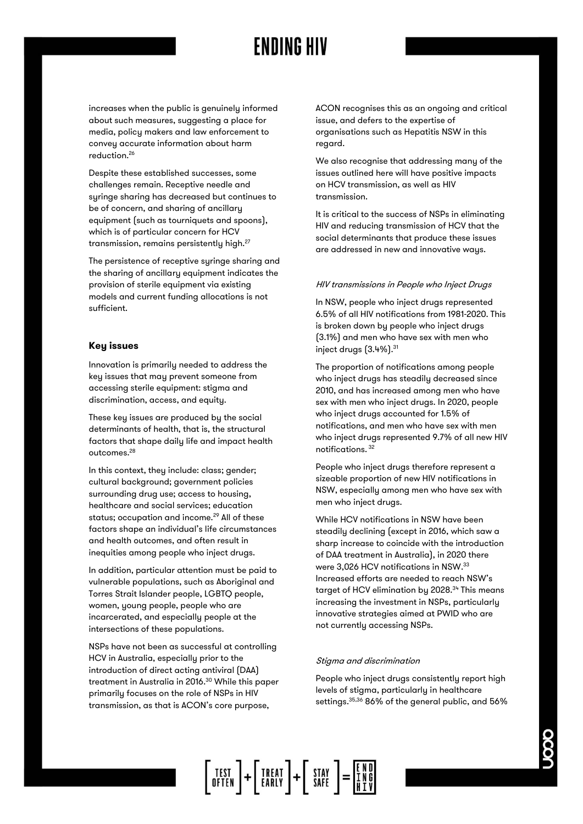increases when the public is genuinely informed about such measures, suggesting a place for media, policy makers and law enforcement to convey accurate information about harm reduction.<sup>26</sup>

Despite these established successes, some challenges remain. Receptive needle and syringe sharing has decreased but continues to be of concern, and sharing of ancillary equipment (such as tourniquets and spoons), which is of particular concern for HCV transmission, remains persistently high.<sup>27</sup>

The persistence of receptive syringe sharing and the sharing of ancillary equipment indicates the provision of sterile equipment via existing models and current funding allocations is not sufficient.

#### **Key issues**

Innovation is primarily needed to address the key issues that may prevent someone from accessing sterile equipment: stigma and discrimination, access, and equity.

These key issues are produced by the social determinants of health, that is, the structural factors that shape daily life and impact health outcomes.<sup>28</sup>

In this context, they include: class; gender; cultural background; government policies surrounding drug use; access to housing, healthcare and social services; education status; occupation and income.<sup>29</sup> All of these factors shape an individual's life circumstances and health outcomes, and often result in inequities among people who inject drugs.

In addition, particular attention must be paid to vulnerable populations, such as Aboriginal and Torres Strait Islander people, LGBTQ people, women, young people, people who are incarcerated, and especially people at the intersections of these populations.

NSPs have not been as successful at controlling HCV in Australia, especially prior to the introduction of direct acting antiviral (DAA) treatment in Australia in 2016. <sup>30</sup> While this paper primarily focuses on the role of NSPs in HIV transmission, as that is ACON's core purpose,

ACON recognises this as an ongoing and critical issue, and defers to the expertise of organisations such as Hepatitis NSW in this regard.

We also recognise that addressing many of the issues outlined here will have positive impacts on HCV transmission, as well as HIV transmission.

It is critical to the success of NSPs in eliminating HIV and reducing transmission of HCV that the social determinants that produce these issues are addressed in new and innovative ways.

#### HIV transmissions in People who Inject Drugs

In NSW, people who inject drugs represented 6.5% of all HIV notifications from 1981-2020. This is broken down by people who inject drugs (3.1%) and men who have sex with men who inject drugs (3.4%).<sup>31</sup>

The proportion of notifications among people who inject drugs has steadily decreased since 2010, and has increased among men who have sex with men who inject drugs. In 2020, people who inject drugs accounted for 1.5% of notifications, and men who have sex with men who inject drugs represented 9.7% of all new HIV notifications. <sup>32</sup>

People who inject drugs therefore represent a sizeable proportion of new HIV notifications in NSW, especially among men who have sex with men who inject drugs.

While HCV notifications in NSW have been steadily declining (except in 2016, which saw a sharp increase to coincide with the introduction of DAA treatment in Australia), in 2020 there were 3,026 HCV notifications in NSW. 33 Increased efforts are needed to reach NSW's target of HCV elimination by 2028.<sup>34</sup> This means increasing the investment in NSPs, particularly innovative strategies aimed at PWID who are not currently accessing NSPs.

#### Stigma and discrimination

People who inject drugs consistently report high levels of stigma, particularly in healthcare settings. 35,36 86% of the general public, and 56%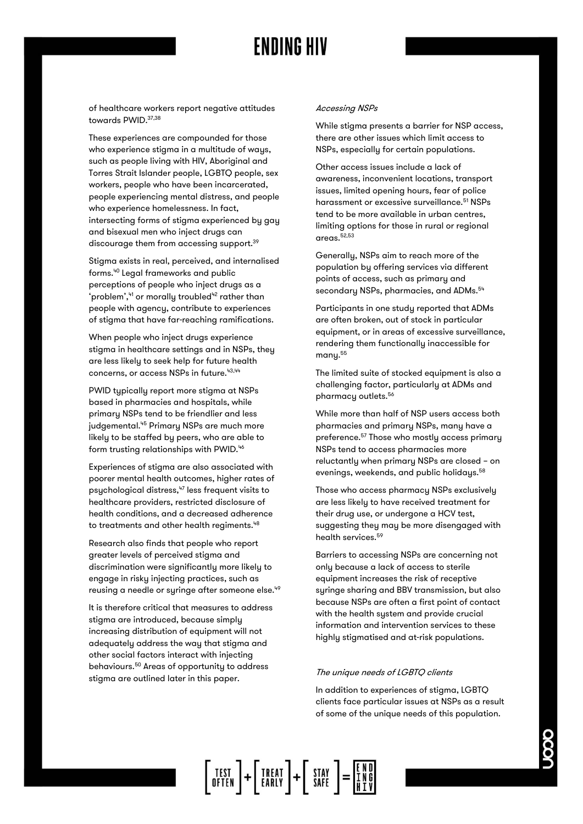of healthcare workers report negative attitudes towards PWID. 37,38

These experiences are compounded for those who experience stigma in a multitude of ways, such as people living with HIV, Aboriginal and Torres Strait Islander people, LGBTQ people, sex workers, people who have been incarcerated, people experiencing mental distress, and people who experience homelessness. In fact, intersecting forms of stigma experienced by gay and bisexual men who inject drugs can discourage them from accessing support.<sup>39</sup>

Stigma exists in real, perceived, and internalised forms.<sup>40</sup> Legal frameworks and public perceptions of people who inject drugs as a 'problem', 41 or morally troubled<sup>42</sup> rather than people with agency, contribute to experiences of stigma that have far-reaching ramifications.

When people who inject drugs experience stigma in healthcare settings and in NSPs, they are less likely to seek help for future health concerns, or access NSPs in future.<sup>43,44</sup>

PWID typically report more stigma at NSPs based in pharmacies and hospitals, while primary NSPs tend to be friendlier and less judgemental.<sup>45</sup> Primary NSPs are much more likely to be staffed by peers, who are able to form trusting relationships with PWID.<sup>46</sup>

Experiences of stigma are also associated with poorer mental health outcomes, higher rates of psychological distress,<sup>47</sup> less frequent visits to healthcare providers, restricted disclosure of health conditions, and a decreased adherence to treatments and other health regiments.<sup>48</sup>

Research also finds that people who report greater levels of perceived stigma and discrimination were significantly more likely to engage in risky injecting practices, such as reusing a needle or syringe after someone else.<sup>49</sup>

It is therefore critical that measures to address stigma are introduced, because simply increasing distribution of equipment will not adequately address the way that stigma and other social factors interact with injecting behaviours.<sup>50</sup> Areas of opportunity to address stigma are outlined later in this paper.

#### Accessing NSPs

While stigma presents a barrier for NSP access, there are other issues which limit access to NSPs, especially for certain populations.

Other access issues include a lack of awareness, inconvenient locations, transport issues, limited opening hours, fear of police harassment or excessive surveillance.<sup>51</sup> NSPs tend to be more available in urban centres, limiting options for those in rural or regional areas.52,53

Generally, NSPs aim to reach more of the population by offering services via different points of access, such as primary and secondary NSPs, pharmacies, and ADMs.<sup>54</sup>

Participants in one study reported that ADMs are often broken, out of stock in particular equipment, or in areas of excessive surveillance, rendering them functionally inaccessible for many.<sup>55</sup>

The limited suite of stocked equipment is also a challenging factor, particularly at ADMs and pharmacy outlets.<sup>56</sup>

While more than half of NSP users access both pharmacies and primary NSPs, many have a preference.<sup>57</sup> Those who mostly access primary NSPs tend to access pharmacies more reluctantly when primary NSPs are closed – on evenings, weekends, and public holidays.<sup>58</sup>

Those who access pharmacy NSPs exclusively are less likely to have received treatment for their drug use, or undergone a HCV test, suggesting they may be more disengaged with health services.<sup>59</sup>

Barriers to accessing NSPs are concerning not only because a lack of access to sterile equipment increases the risk of receptive syringe sharing and BBV transmission, but also because NSPs are often a first point of contact with the health system and provide crucial information and intervention services to these highly stigmatised and at-risk populations.

#### The unique needs of LGBTQ clients

In addition to experiences of stigma, LGBTQ clients face particular issues at NSPs as a result of some of the unique needs of this population.

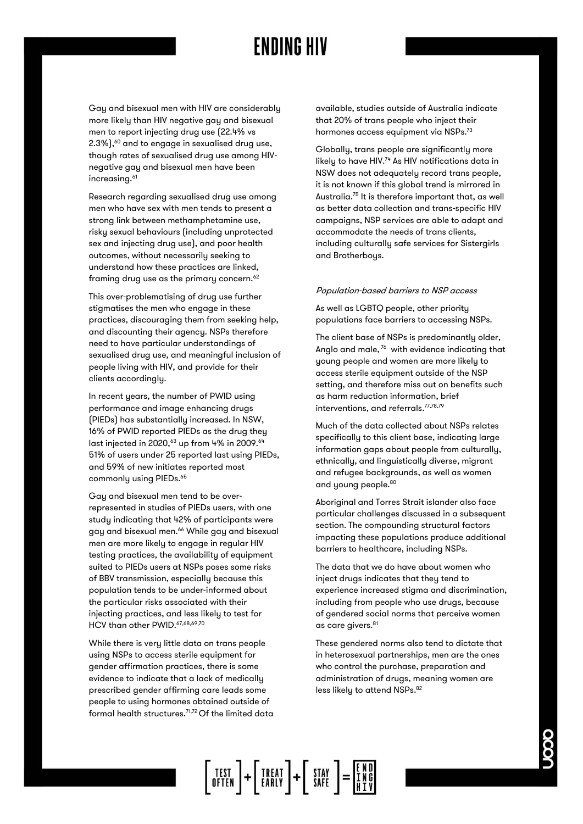Gay and bisexual men with HIV are considerably more likely than HIV negative gay and bisexual men to report injecting drug use (22.4% vs  $2.3\%$ ), $60$  and to engage in sexualised drug use, though rates of sexualised drug use among HIVnegative gay and bisexual men have been increasing.<sup>61</sup>

Research regarding sexualised drug use among men who have sex with men tends to present a strong link between methamphetamine use, risky sexual behaviours (including unprotected sex and injecting drug use), and poor health outcomes, without necessarily seeking to understand how these practices are linked, framing drug use as the primary concern.<sup>62</sup>

This over-problematising of drug use further stigmatises the men who engage in these practices, discouraging them from seeking help, and discounting their agency. NSPs therefore need to have particular understandings of sexualised drug use, and meaningful inclusion of people living with HIV, and provide for their clients accordingly.

In recent years, the number of PWID using performance and image enhancing drugs (PIEDs) has substantially increased. In NSW, 16% of PWID reported PIEDs as the drug they last injected in 2020,<sup>63</sup> up from 4% in 2009.<sup>64</sup> 51% of users under 25 reported last using PIEDs, and 59% of new initiates reported most commonly using PIEDs.<sup>65</sup>

Gay and bisexual men tend to be overrepresented in studies of PIEDs users, with one study indicating that 42% of participants were gay and bisexual men.<sup>66</sup> While gay and bisexual men are more likely to engage in regular HIV testing practices, the availability of equipment suited to PIEDs users at NSPs poses some risks of BBV transmission, especially because this population tends to be under-informed about the particular risks associated with their injecting practices, and less likely to test for HCV than other PWID. 67,68,69,70

While there is very little data on trans people using NSPs to access sterile equipment for gender affirmation practices, there is some evidence to indicate that a lack of medically prescribed gender affirming care leads some people to using hormones obtained outside of formal health structures.71,72 Of the limited data available, studies outside of Australia indicate that 20% of trans people who inject their hormones access equipment via NSPs.<sup>73</sup>

Globally, trans people are significantly more likely to have HIV. $74$  As HIV notifications data in NSW does not adequately record trans people, it is not known if this global trend is mirrored in Australia.<sup>75</sup> It is therefore important that, as well as better data collection and trans-specific HIV campaigns, NSP services are able to adapt and accommodate the needs of trans clients, including culturally safe services for Sistergirls and Brotherboys.

#### Population-based barriers to NSP access

As well as LGBTQ people, other priority populations face barriers to accessing NSPs.

The client base of NSPs is predominantly older, Anglo and male,<sup>76</sup> with evidence indicating that young people and women are more likely to access sterile equipment outside of the NSP setting, and therefore miss out on benefits such as harm reduction information, brief interventions, and referrals. 77,78,79

Much of the data collected about NSPs relates specifically to this client base, indicating large information gaps about people from culturally, ethnically, and linguistically diverse, migrant and refugee backgrounds, as well as women and young people. 80

Aboriginal and Torres Strait islander also face particular challenges discussed in a subsequent section. The compounding structural factors impacting these populations produce additional barriers to healthcare, including NSPs.

The data that we do have about women who inject drugs indicates that they tend to experience increased stigma and discrimination, including from people who use drugs, because of gendered social norms that perceive women as care givers.<sup>81</sup>

These gendered norms also tend to dictate that in heterosexual partnerships, men are the ones who control the purchase, preparation and administration of drugs, meaning women are less likely to attend NSPs.<sup>82</sup>

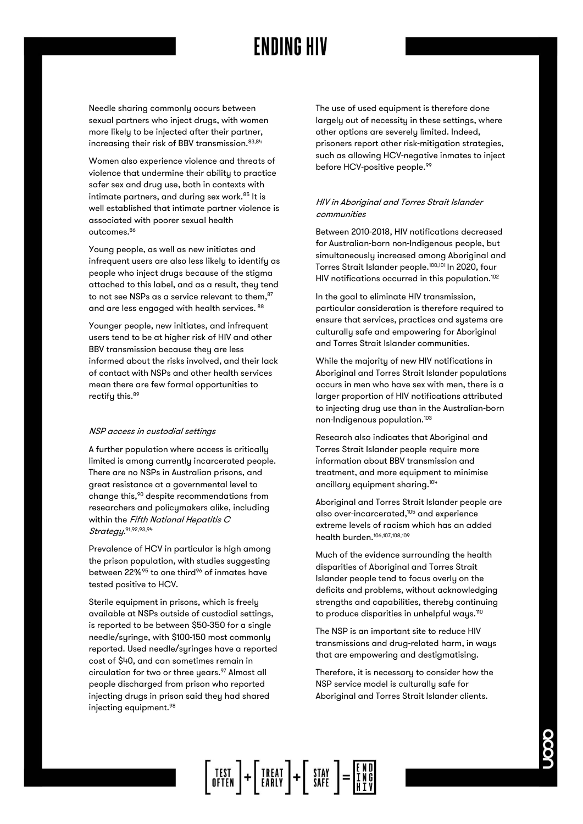Needle sharing commonly occurs between sexual partners who inject drugs, with women more likely to be injected after their partner, increasing their risk of BBV transmission.<sup>83,84</sup>

Women also experience violence and threats of violence that undermine their ability to practice safer sex and drug use, both in contexts with intimate partners, and during sex work.<sup>85</sup> It is well established that intimate partner violence is associated with poorer sexual health outcomes.<sup>86</sup>

Young people, as well as new initiates and infrequent users are also less likely to identify as people who inject drugs because of the stigma attached to this label, and as a result, they tend to not see NSPs as a service relevant to them, 87 and are less engaged with health services. 88

Younger people, new initiates, and infrequent users tend to be at higher risk of HIV and other BBV transmission because they are less informed about the risks involved, and their lack of contact with NSPs and other health services mean there are few formal opportunities to rectify this.<sup>89</sup>

#### NSP access in custodial settings

A further population where access is critically limited is among currently incarcerated people. There are no NSPs in Australian prisons, and great resistance at a governmental level to change this,<sup>90</sup> despite recommendations from researchers and policymakers alike, including within the Fifth National Hepatitis C Strategy. 91,92,93,94

Prevalence of HCV in particular is high among the prison population, with studies suggesting between 22%<sup>95</sup> to one third<sup>96</sup> of inmates have tested positive to HCV.

Sterile equipment in prisons, which is freely available at NSPs outside of custodial settings, is reported to be between \$50-350 for a single needle/syringe, with \$100-150 most commonly reported. Used needle/syringes have a reported cost of \$40, and can sometimes remain in circulation for two or three years.<sup>97</sup> Almost all people discharged from prison who reported injecting drugs in prison said they had shared injecting equipment.<sup>98</sup>

The use of used equipment is therefore done largely out of necessity in these settings, where other options are severely limited. Indeed, prisoners report other risk-mitigation strategies, such as allowing HCV-negative inmates to inject before HCV-positive people.<sup>99</sup>

#### HIV in Aboriginal and Torres Strait Islander communities

Between 2010-2018, HIV notifications decreased for Australian-born non-Indigenous people, but simultaneously increased among Aboriginal and Torres Strait Islander people.100,101 In 2020, four HIV notifications occurred in this population.<sup>102</sup>

In the goal to eliminate HIV transmission, particular consideration is therefore required to ensure that services, practices and systems are culturally safe and empowering for Aboriginal and Torres Strait Islander communities.

While the majority of new HIV notifications in Aboriginal and Torres Strait Islander populations occurs in men who have sex with men, there is a larger proportion of HIV notifications attributed to injecting drug use than in the Australian-born non-Indigenous population.<sup>103</sup>

Research also indicates that Aboriginal and Torres Strait Islander people require more information about BBV transmission and treatment, and more equipment to minimise ancillary equipment sharing. 104

Aboriginal and Torres Strait Islander people are also over-incarcerated,<sup>105</sup> and experience extreme levels of racism which has an added health burden.106,107,108,109

Much of the evidence surrounding the health disparities of Aboriginal and Torres Strait Islander people tend to focus overly on the deficits and problems, without acknowledging strengths and capabilities, thereby continuing to produce disparities in unhelpful ways.<sup>110</sup>

The NSP is an important site to reduce HIV transmissions and drug-related harm, in ways that are empowering and destigmatising.

Therefore, it is necessary to consider how the NSP service model is culturally safe for Aboriginal and Torres Strait Islander clients.

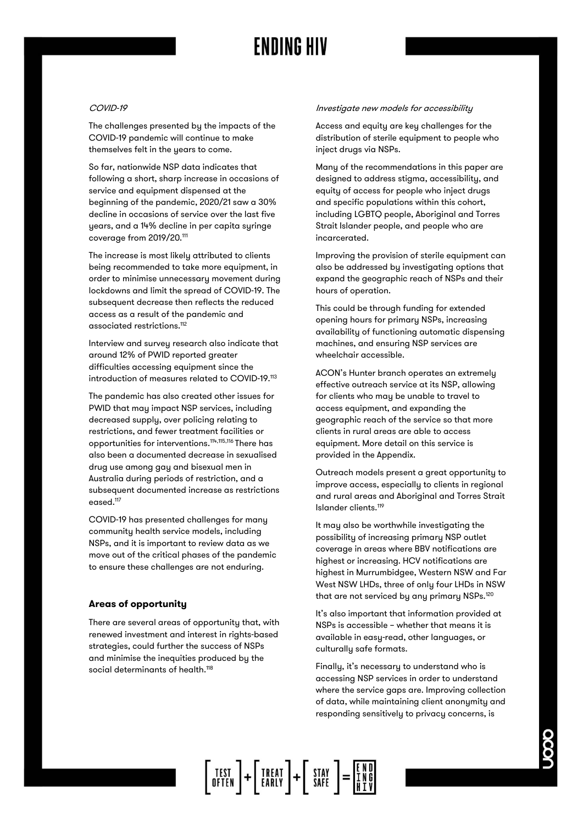#### COVID-19

The challenges presented by the impacts of the COVID-19 pandemic will continue to make themselves felt in the years to come.

So far, nationwide NSP data indicates that following a short, sharp increase in occasions of service and equipment dispensed at the beginning of the pandemic, 2020/21 saw a 30% decline in occasions of service over the last five years, and a 14% decline in per capita syringe coverage from 2019/20.<sup>111</sup>

The increase is most likely attributed to clients being recommended to take more equipment, in order to minimise unnecessary movement during lockdowns and limit the spread of COVID-19. The subsequent decrease then reflects the reduced access as a result of the pandemic and associated restrictions.<sup>112</sup>

Interview and survey research also indicate that around 12% of PWID reported greater difficulties accessing equipment since the introduction of measures related to COVID-19.<sup>113</sup>

The pandemic has also created other issues for PWID that may impact NSP services, including decreased supply, over policing relating to restrictions, and fewer treatment facilities or opportunities for interventions.114,115,116 There has also been a documented decrease in sexualised drug use among gay and bisexual men in Australia during periods of restriction, and a subsequent documented increase as restrictions eased.<sup>117</sup>

COVID-19 has presented challenges for many community health service models, including NSPs, and it is important to review data as we move out of the critical phases of the pandemic to ensure these challenges are not enduring.

#### **Areas of opportunity**

There are several areas of opportunity that, with renewed investment and interest in rights-based strategies, could further the success of NSPs and minimise the inequities produced by the social determinants of health. 118

#### Investigate new models for accessibility

Access and equity are key challenges for the distribution of sterile equipment to people who inject drugs via NSPs.

Many of the recommendations in this paper are designed to address stigma, accessibility, and equity of access for people who inject drugs and specific populations within this cohort, including LGBTQ people, Aboriginal and Torres Strait Islander people, and people who are incarcerated.

Improving the provision of sterile equipment can also be addressed by investigating options that expand the geographic reach of NSPs and their hours of operation.

This could be through funding for extended opening hours for primary NSPs, increasing availability of functioning automatic dispensing machines, and ensuring NSP services are wheelchair accessible.

ACON's Hunter branch operates an extremely effective outreach service at its NSP, allowing for clients who may be unable to travel to access equipment, and expanding the geographic reach of the service so that more clients in rural areas are able to access equipment. More detail on this service is provided in the Appendix.

Outreach models present a great opportunity to improve access, especially to clients in regional and rural areas and Aboriginal and Torres Strait Islander clients.<sup>119</sup>

It may also be worthwhile investigating the possibility of increasing primary NSP outlet coverage in areas where BBV notifications are highest or increasing. HCV notifications are highest in Murrumbidgee, Western NSW and Far West NSW LHDs, three of only four LHDs in NSW that are not serviced by any primary NSPs.<sup>120</sup>

It's also important that information provided at NSPs is accessible – whether that means it is available in easy-read, other languages, or culturally safe formats.

Finally, it's necessary to understand who is accessing NSP services in order to understand where the service gaps are. Improving collection of data, while maintaining client anonymity and responding sensitively to privacy concerns, is

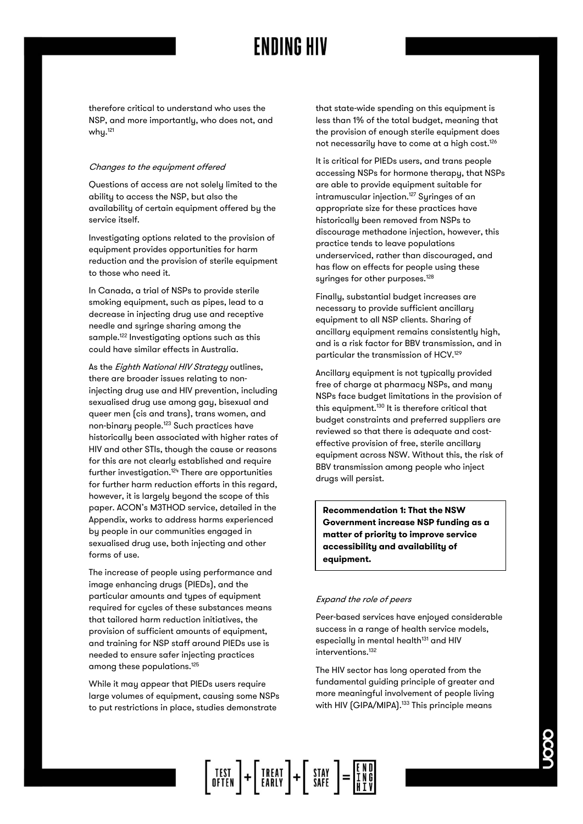therefore critical to understand who uses the NSP, and more importantly, who does not, and why.<sup>121</sup>

#### Changes to the equipment offered

Questions of access are not solely limited to the ability to access the NSP, but also the availability of certain equipment offered by the service itself.

Investigating options related to the provision of equipment provides opportunities for harm reduction and the provision of sterile equipment to those who need it.

In Canada, a trial of NSPs to provide sterile smoking equipment, such as pipes, lead to a decrease in injecting drug use and receptive needle and syringe sharing among the sample.<sup>122</sup> Investigating options such as this could have similar effects in Australia.

As the *Eighth National HIV Strategy* outlines, there are broader issues relating to noninjecting drug use and HIV prevention, including sexualised drug use among gay, bisexual and queer men (cis and trans), trans women, and non-binary people. <sup>123</sup> Such practices have historically been associated with higher rates of HIV and other STIs, though the cause or reasons for this are not clearly established and require further investigation.<sup>124</sup> There are opportunities for further harm reduction efforts in this regard, however, it is largely beyond the scope of this paper. ACON's M3THOD service, detailed in the Appendix, works to address harms experienced by people in our communities engaged in sexualised drug use, both injecting and other forms of use.

The increase of people using performance and image enhancing drugs (PIEDs), and the particular amounts and types of equipment required for cucles of these substances means that tailored harm reduction initiatives, the provision of sufficient amounts of equipment, and training for NSP staff around PIEDs use is needed to ensure safer injecting practices among these populations.<sup>125</sup>

While it may appear that PIEDs users require large volumes of equipment, causing some NSPs to put restrictions in place, studies demonstrate

that state-wide spending on this equipment is less than 1% of the total budget, meaning that the provision of enough sterile equipment does not necessarily have to come at a high cost.<sup>126</sup>

It is critical for PIEDs users, and trans people accessing NSPs for hormone therapy, that NSPs are able to provide equipment suitable for intramuscular injection.<sup>127</sup> Syringes of an appropriate size for these practices have historically been removed from NSPs to discourage methadone injection, however, this practice tends to leave populations underserviced, rather than discouraged, and has flow on effects for people using these syringes for other purposes.<sup>128</sup>

Finally, substantial budget increases are necessary to provide sufficient ancillary equipment to all NSP clients. Sharing of ancillary equipment remains consistently high, and is a risk factor for BBV transmission, and in particular the transmission of HCV.<sup>129</sup>

Ancillary equipment is not typically provided free of charge at pharmacy NSPs, and many NSPs face budget limitations in the provision of this equipment.<sup>130</sup> It is therefore critical that budget constraints and preferred suppliers are reviewed so that there is adequate and costeffective provision of free, sterile ancillary equipment across NSW. Without this, the risk of BBV transmission among people who inject drugs will persist.

**Recommendation 1: That the NSW Government increase NSP funding as a matter of priority to improve service accessibility and availability of equipment.**

#### Expand the role of peers

Peer-based services have enjoyed considerable success in a range of health service models, especially in mental health<sup>131</sup> and HIV interventions.<sup>132</sup>

The HIV sector has long operated from the fundamental guiding principle of greater and more meaningful involvement of people living with HIV (GIPA/MIPA).<sup>133</sup> This principle means

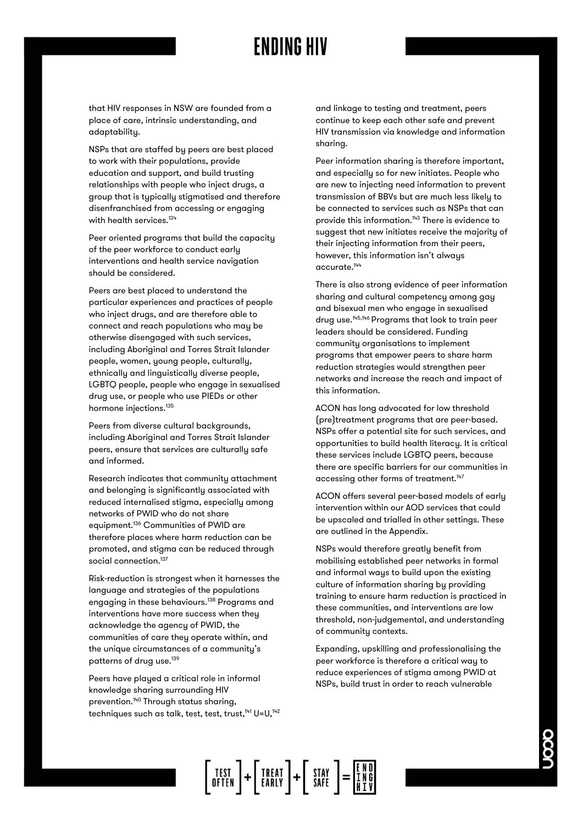NSPs that are staffed by peers are best placed to work with their populations, provide education and support, and build trusting relationships with people who inject drugs, a group that is typically stigmatised and therefore disenfranchised from accessing or engaging with health services.<sup>134</sup>

Peer oriented programs that build the capacity of the peer workforce to conduct early interventions and health service navigation should be considered.

Peers are best placed to understand the particular experiences and practices of people who inject drugs, and are therefore able to connect and reach populations who may be otherwise disengaged with such services, including Aboriginal and Torres Strait Islander people, women, young people, culturally, ethnically and linguistically diverse people, LGBTQ people, people who engage in sexualised drug use, or people who use PIEDs or other hormone injections. 135

Peers from diverse cultural backgrounds, including Aboriginal and Torres Strait Islander peers, ensure that services are culturally safe and informed.

Research indicates that community attachment and belonging is significantly associated with reduced internalised stigma, especially among networks of PWID who do not share equipment.<sup>136</sup> Communities of PWID are therefore places where harm reduction can be promoted, and stigma can be reduced through social connection.<sup>137</sup>

Risk-reduction is strongest when it harnesses the language and strategies of the populations engaging in these behaviours.<sup>138</sup> Programs and interventions have more success when they acknowledge the agency of PWID, the communities of care they operate within, and the unique circumstances of a community's patterns of drug use.<sup>139</sup>

Peers have played a critical role in informal knowledge sharing surrounding HIV prevention.<sup>140</sup> Through status sharing, techniques such as talk, test, test, trust, <sup>141</sup> U=U,<sup>142</sup> and linkage to testing and treatment, peers continue to keep each other safe and prevent HIV transmission via knowledge and information sharing.

Peer information sharing is therefore important, and especially so for new initiates. People who are new to injecting need information to prevent transmission of BBVs but are much less likely to be connected to services such as NSPs that can provide this information.<sup>143</sup> There is evidence to suggest that new initiates receive the majority of their injecting information from their peers, however, this information isn't always accurate.<sup>144</sup>

There is also strong evidence of peer information sharing and cultural competency among gay and bisexual men who engage in sexualised drug use.145,146 Programs that look to train peer leaders should be considered. Funding community organisations to implement programs that empower peers to share harm reduction strategies would strengthen peer networks and increase the reach and impact of this information.

ACON has long advocated for low threshold (pre)treatment programs that are peer-based. NSPs offer a potential site for such services, and opportunities to build health literacy. It is critical these services include LGBTQ peers, because there are specific barriers for our communities in accessing other forms of treatment.<sup>147</sup>

ACON offers several peer-based models of early intervention within our AOD services that could be upscaled and trialled in other settings. These are outlined in the Appendix.

NSPs would therefore greatly benefit from mobilising established peer networks in formal and informal ways to build upon the existing culture of information sharing by providing training to ensure harm reduction is practiced in these communities, and interventions are low threshold, non-judgemental, and understanding of community contexts.

Expanding, upskilling and professionalising the peer workforce is therefore a critical way to reduce experiences of stigma among PWID at NSPs, build trust in order to reach vulnerable

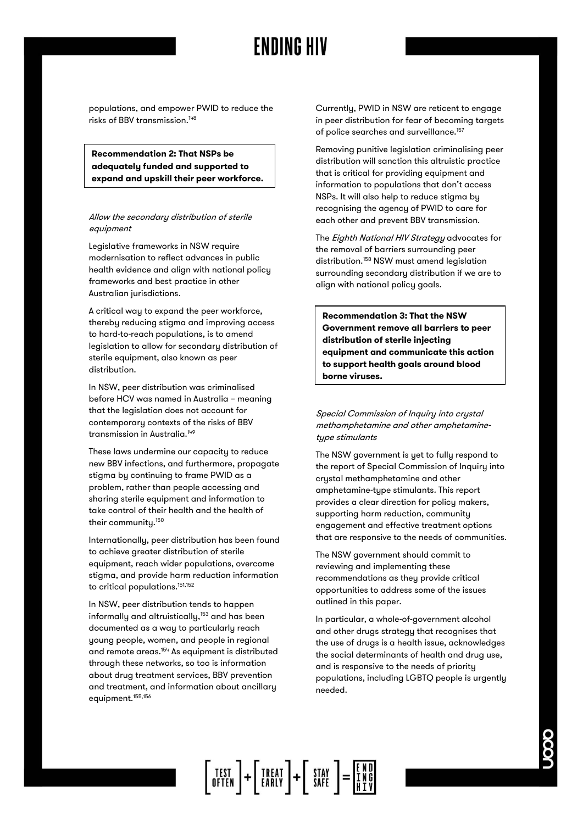**Recommendation 2: That NSPs be adequately funded and supported to expand and upskill their peer workforce.**

#### Allow the secondary distribution of sterile equipment

Legislative frameworks in NSW require modernisation to reflect advances in public health evidence and align with national policy frameworks and best practice in other Australian jurisdictions.

A critical way to expand the peer workforce, thereby reducing stigma and improving access to hard-to-reach populations, is to amend legislation to allow for secondary distribution of sterile equipment, also known as peer distribution.

In NSW, peer distribution was criminalised before HCV was named in Australia – meaning that the legislation does not account for contemporary contexts of the risks of BBV transmission in Australia.<sup>149</sup>

These laws undermine our capacity to reduce new BBV infections, and furthermore, propagate stigma by continuing to frame PWID as a problem, rather than people accessing and sharing sterile equipment and information to take control of their health and the health of their community. 150

Internationally, peer distribution has been found to achieve greater distribution of sterile equipment, reach wider populations, overcome stigma, and provide harm reduction information to critical populations.<sup>151,152</sup>

In NSW, peer distribution tends to happen informally and altruistically,<sup>153</sup> and has been documented as a way to particularly reach young people, women, and people in regional and remote areas.<sup>154</sup> As equipment is distributed through these networks, so too is information about drug treatment services, BBV prevention and treatment, and information about ancillary equipment.<sup>155,156</sup>

Currently, PWID in NSW are reticent to engage in peer distribution for fear of becoming targets of police searches and surveillance.<sup>157</sup>

Removing punitive legislation criminalising peer distribution will sanction this altruistic practice that is critical for providing equipment and information to populations that don't access NSPs. It will also help to reduce stigma by recognising the agency of PWID to care for each other and prevent BBV transmission.

The Eighth National HIV Strategy advocates for the removal of barriers surrounding peer distribution.<sup>158</sup> NSW must amend legislation surrounding secondary distribution if we are to align with national policy goals.

**Recommendation 3: That the NSW Government remove all barriers to peer distribution of sterile injecting equipment and communicate this action to support health goals around blood borne viruses.**

Special Commission of Inquiry into crystal methamphetamine and other amphetaminetype stimulants

The NSW government is yet to fully respond to the report of Special Commission of Inquiry into crystal methamphetamine and other amphetamine-type stimulants. This report provides a clear direction for policy makers, supporting harm reduction, community engagement and effective treatment options that are responsive to the needs of communities.

The NSW government should commit to reviewing and implementing these recommendations as they provide critical opportunities to address some of the issues outlined in this paper.

In particular, a whole-of-government alcohol and other drugs strategy that recognises that the use of drugs is a health issue, acknowledges the social determinants of health and drug use, and is responsive to the needs of priority populations, including LGBTQ people is urgently needed.

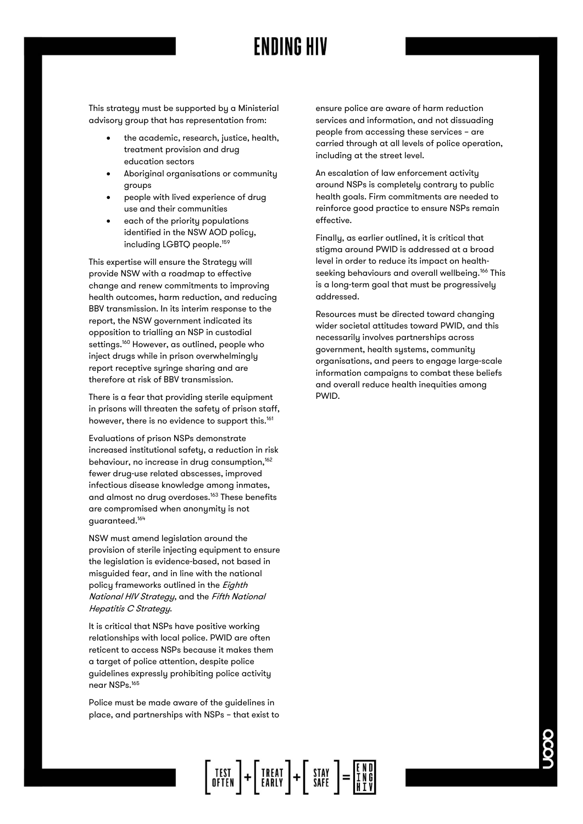This strategy must be supported by a Ministerial advisory group that has representation from:

- the academic, research, justice, health, treatment provision and drug education sectors
- Aboriginal organisations or community groups
- people with lived experience of drug use and their communities
- each of the priority populations identified in the NSW AOD policy, including LGBTQ people.<sup>159</sup>

This expertise will ensure the Strategy will provide NSW with a roadmap to effective change and renew commitments to improving health outcomes, harm reduction, and reducing BBV transmission. In its interim response to the report, the NSW government indicated its opposition to trialling an NSP in custodial settings.<sup>160</sup> However, as outlined, people who inject drugs while in prison overwhelmingly report receptive syringe sharing and are therefore at risk of BBV transmission.

There is a fear that providing sterile equipment in prisons will threaten the safety of prison staff, however, there is no evidence to support this.<sup>161</sup>

Evaluations of prison NSPs demonstrate increased institutional safety, a reduction in risk behaviour, no increase in drug consumption,<sup>162</sup> fewer drug-use related abscesses, improved infectious disease knowledge among inmates, and almost no drug overdoses.<sup>163</sup> These benefits are compromised when anonymity is not guaranteed. 164

NSW must amend legislation around the provision of sterile injecting equipment to ensure the legislation is evidence-based, not based in misguided fear, and in line with the national policy frameworks outlined in the Eighth National HIV Strategy, and the Fifth National Hepatitis C Strategy.

It is critical that NSPs have positive working relationships with local police. PWID are often reticent to access NSPs because it makes them a target of police attention, despite police guidelines expressly prohibiting police activity near NSPs.<sup>165</sup>

Police must be made aware of the guidelines in place, and partnerships with NSPs – that exist to ensure police are aware of harm reduction services and information, and not dissuading people from accessing these services – are carried through at all levels of police operation, including at the street level.

An escalation of law enforcement activity around NSPs is completely contrary to public health goals. Firm commitments are needed to reinforce good practice to ensure NSPs remain effective.

Finally, as earlier outlined, it is critical that stigma around PWID is addressed at a broad level in order to reduce its impact on healthseeking behaviours and overall wellbeing.<sup>166</sup> This is a long-term goal that must be progressively addressed.

Resources must be directed toward changing wider societal attitudes toward PWID, and this necessarily involves partnerships across government, health systems, community organisations, and peers to engage large-scale information campaigns to combat these beliefs and overall reduce health inequities among PWID.

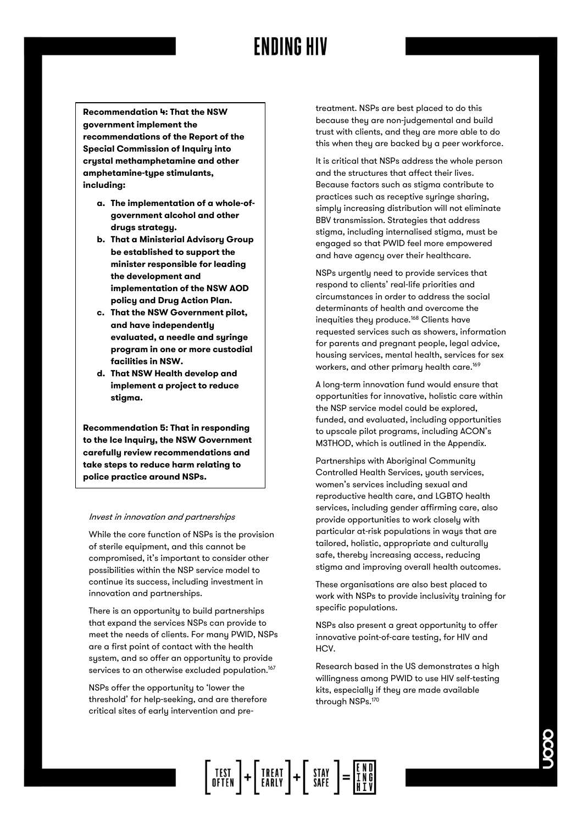**Recommendation 4: That the NSW government implement the recommendations of the Report of the Special Commission of Inquiry into crystal methamphetamine and other amphetamine-type stimulants, including:**

- **a. The implementation of a whole-ofgovernment alcohol and other drugs strategy.**
- **b. That a Ministerial Advisory Group be established to support the minister responsible for leading the development and implementation of the NSW AOD policy and Drug Action Plan.**
- **c. That the NSW Government pilot, and have independently evaluated, a needle and syringe program in one or more custodial facilities in NSW.**
- **d. That NSW Health develop and implement a project to reduce stigma.**

**Recommendation 5: That in responding to the Ice Inquiry, the NSW Government carefully review recommendations and take steps to reduce harm relating to police practice around NSPs.**

#### Invest in innovation and partnerships

While the core function of NSPs is the provision of sterile equipment, and this cannot be compromised, it's important to consider other possibilities within the NSP service model to continue its success, including investment in innovation and partnerships.

There is an opportunity to build partnerships that expand the services NSPs can provide to meet the needs of clients. For many PWID, NSPs are a first point of contact with the health system, and so offer an opportunity to provide services to an otherwise excluded population.<sup>167</sup>

NSPs offer the opportunity to 'lower the threshold' for help-seeking, and are therefore critical sites of early intervention and pre-

treatment. NSPs are best placed to do this because they are non-judgemental and build trust with clients, and they are more able to do this when they are backed by a peer workforce.

It is critical that NSPs address the whole person and the structures that affect their lives. Because factors such as stigma contribute to practices such as receptive syringe sharing, simply increasing distribution will not eliminate BBV transmission. Strategies that address stigma, including internalised stigma, must be engaged so that PWID feel more empowered and have agency over their healthcare.

NSPs urgently need to provide services that respond to clients' real-life priorities and circumstances in order to address the social determinants of health and overcome the inequities they produce.<sup>168</sup> Clients have requested services such as showers, information for parents and pregnant people, legal advice, housing services, mental health, services for sex workers, and other primary health care.<sup>169</sup>

A long-term innovation fund would ensure that opportunities for innovative, holistic care within the NSP service model could be explored, funded, and evaluated, including opportunities to upscale pilot programs, including ACON's M3THOD, which is outlined in the Appendix.

Partnerships with Aboriginal Community Controlled Health Services, youth services, women's services including sexual and reproductive health care, and LGBTQ health services, including gender affirming care, also provide opportunities to work closely with particular at-risk populations in ways that are tailored, holistic, appropriate and culturally safe, thereby increasing access, reducing stigma and improving overall health outcomes.

These organisations are also best placed to work with NSPs to provide inclusivitu training for specific populations.

NSPs also present a great opportunity to offer innovative point-of-care testing, for HIV and HCV.

Research based in the US demonstrates a high willingness among PWID to use HIV self-testing kits, especially if they are made available through NSPs.<sup>170</sup>

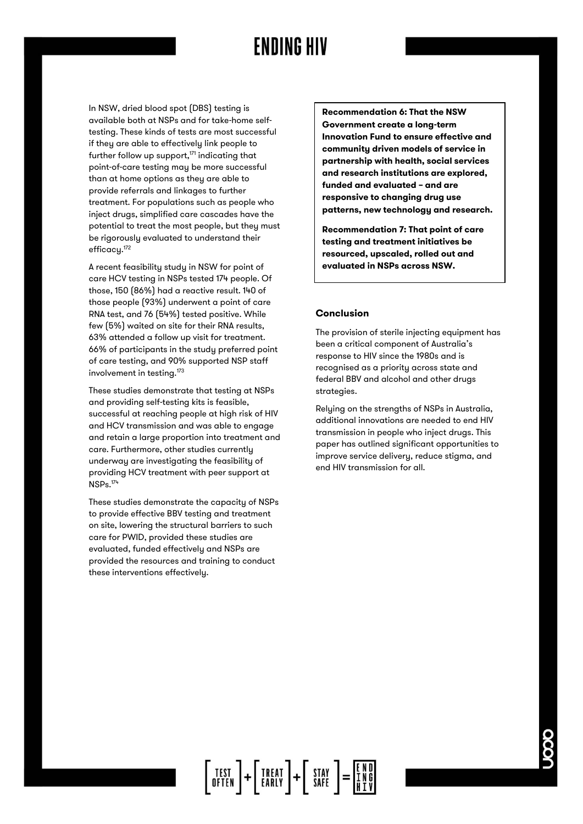In NSW, dried blood spot (DBS) testing is available both at NSPs and for take-home selftesting. These kinds of tests are most successful if they are able to effectively link people to further follow up support, <sup>171</sup> indicating that point-of-care testing may be more successful than at home options as they are able to provide referrals and linkages to further treatment. For populations such as people who inject drugs, simplified care cascades have the potential to treat the most people, but they must be rigorously evaluated to understand their efficacy.<sup>172</sup>

A recent feasibility study in NSW for point of care HCV testing in NSPs tested 174 people. Of those, 150 (86%) had a reactive result. 140 of those people (93%) underwent a point of care RNA test, and 76 (54%) tested positive. While few (5%) waited on site for their RNA results, 63% attended a follow up visit for treatment. 66% of participants in the study preferred point of care testing, and 90% supported NSP staff involvement in testing.<sup>173</sup>

These studies demonstrate that testing at NSPs and providing self-testing kits is feasible, successful at reaching people at high risk of HIV and HCV transmission and was able to engage and retain a large proportion into treatment and care. Furthermore, other studies currently underway are investigating the feasibility of providing HCV treatment with peer support at NSPs.<sup>174</sup>

These studies demonstrate the capacity of NSPs to provide effective BBV testing and treatment on site, lowering the structural barriers to such care for PWID, provided these studies are evaluated, funded effectively and NSPs are provided the resources and training to conduct these interventions effectively.

**Recommendation 6: That the NSW Government create a long-term Innovation Fund to ensure effective and community driven models of service in partnership with health, social services and research institutions are explored, funded and evaluated – and are responsive to changing drug use patterns, new technology and research.** 

**Recommendation 7: That point of care testing and treatment initiatives be resourced, upscaled, rolled out and evaluated in NSPs across NSW.** 

#### **Conclusion**

The provision of sterile injecting equipment has been a critical component of Australia's response to HIV since the 1980s and is recognised as a priority across state and federal BBV and alcohol and other drugs strategies.

Relying on the strengths of NSPs in Australia, additional innovations are needed to end HIV transmission in people who inject drugs. This paper has outlined significant opportunities to improve service delivery, reduce stigma, and end HIV transmission for all.

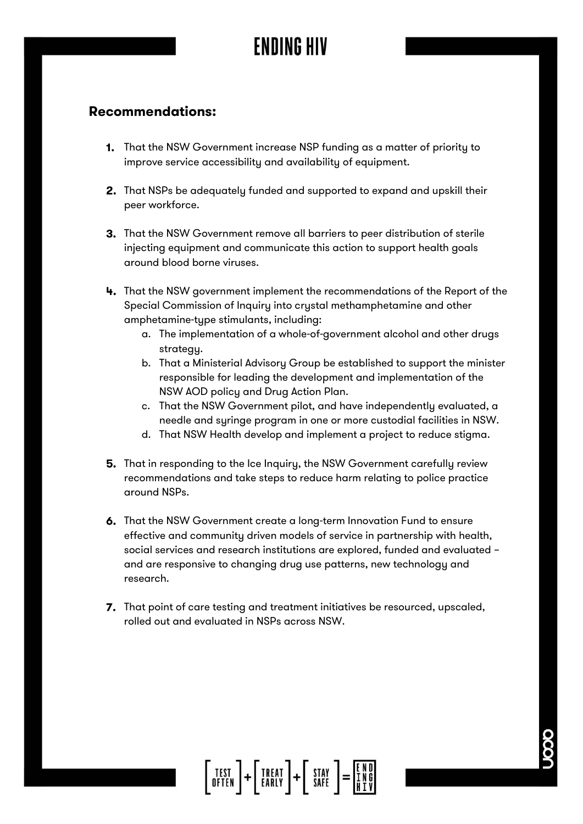### **Recommendations:**

- **1.** That the NSW Government increase NSP funding as a matter of priority to improve service accessibility and availability of equipment.
- 2. That NSPs be adequately funded and supported to expand and upskill their peer workforce.
- **3.** That the NSW Government remove all barriers to peer distribution of sterile injecting equipment and communicate this action to support health goals around blood borne viruses.
- That the NSW government implement the recommendations of the Report of the Special Commission of Inquiry into crystal methamphetamine and other amphetamine-type stimulants, including:
	- a. The implementation of a whole-of-government alcohol and other drugs strategy.
	- b. That a Ministerial Advisory Group be established to support the minister responsible for leading the development and implementation of the NSW AOD policy and Drug Action Plan.
	- c. That the NSW Government pilot, and have independently evaluated, a needle and syringe program in one or more custodial facilities in NSW.
	- d. That NSW Health develop and implement a project to reduce stigma.
- **5.** That in responding to the Ice Inquiry, the NSW Government carefully review recommendations and take steps to reduce harm relating to police practice around NSPs.
- 6. That the NSW Government create a long-term Innovation Fund to ensure effective and community driven models of service in partnership with health, social services and research institutions are explored, funded and evaluated – and are responsive to changing drug use patterns, new technology and research.
- 7. That point of care testing and treatment initiatives be resourced, upscaled, rolled out and evaluated in NSPs across NSW.

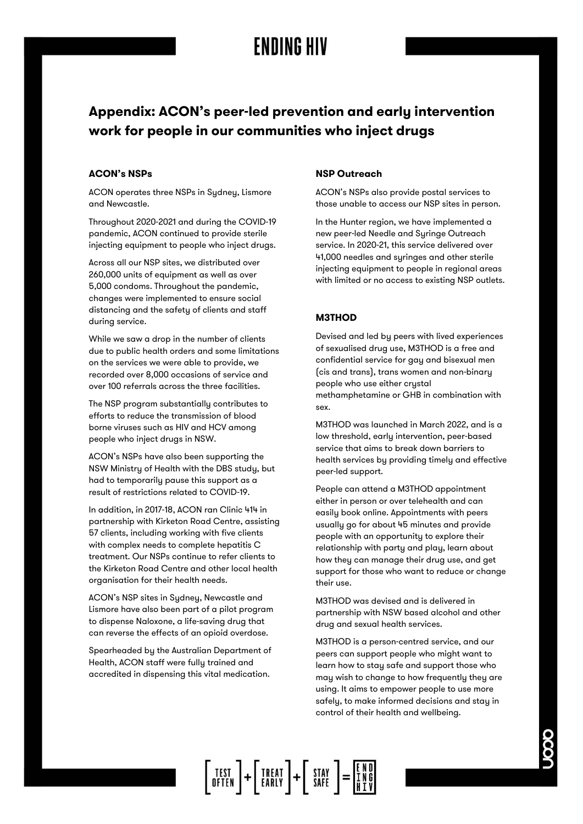### **Appendix: ACON's peer-led prevention and early intervention work for people in our communities who inject drugs**

### **ACON's NSPs**

ACON operates three NSPs in Sydney, Lismore and Newcastle.

Throughout 2020-2021 and during the COVID-19 pandemic, ACON continued to provide sterile injecting equipment to people who inject drugs.

Across all our NSP sites, we distributed over 260,000 units of equipment as well as over 5,000 condoms. Throughout the pandemic, changes were implemented to ensure social distancing and the safety of clients and staff during service.

While we saw a drop in the number of clients due to public health orders and some limitations on the services we were able to provide, we recorded over 8,000 occasions of service and over 100 referrals across the three facilities.

The NSP program substantially contributes to efforts to reduce the transmission of blood borne viruses such as HIV and HCV among people who inject drugs in NSW.

ACON's NSPs have also been supporting the NSW Ministry of Health with the DBS study, but had to temporarily pause this support as a result of restrictions related to COVID-19.

In addition, in 2017-18, ACON ran Clinic 414 in partnership with Kirketon Road Centre, assisting 57 clients, including working with five clients with complex needs to complete hepatitis C treatment. Our NSPs continue to refer clients to the Kirketon Road Centre and other local health organisation for their health needs.

ACON's NSP sites in Sydney, Newcastle and Lismore have also been part of a pilot program to dispense Naloxone, a life-saving drug that can reverse the effects of an opioid overdose.

Spearheaded by the Australian Department of Health, ACON staff were fully trained and accredited in dispensing this vital medication.

### **NSP Outreach**

ACON's NSPs also provide postal services to those unable to access our NSP sites in person.

In the Hunter region, we have implemented a new peer-led Needle and Syringe Outreach service. In 2020-21, this service delivered over 41,000 needles and syringes and other sterile injecting equipment to people in regional areas with limited or no access to existing NSP outlets.

### **M3THOD**

Devised and led by peers with lived experiences of sexualised drug use, M3THOD is a free and confidential service for gay and bisexual men (cis and trans), trans women and non-binary people who use either crystal methamphetamine or GHB in combination with sex.

M3THOD was launched in March 2022, and is a low threshold, early intervention, peer-based service that aims to break down barriers to health services by providing timely and effective peer-led support.

People can attend a M3THOD appointment either in person or over telehealth and can easily book online. Appointments with peers usually go for about 45 minutes and provide people with an opportunity to explore their relationship with party and play, learn about how they can manage their drug use, and get support for those who want to reduce or change their use.

M3THOD was devised and is delivered in partnership with NSW based alcohol and other drug and sexual health services.

M3THOD is a person-centred service, and our peers can support people who might want to learn how to stay safe and support those who may wish to change to how frequently they are using. It aims to empower people to use more safely, to make informed decisions and stay in control of their health and wellbeing.

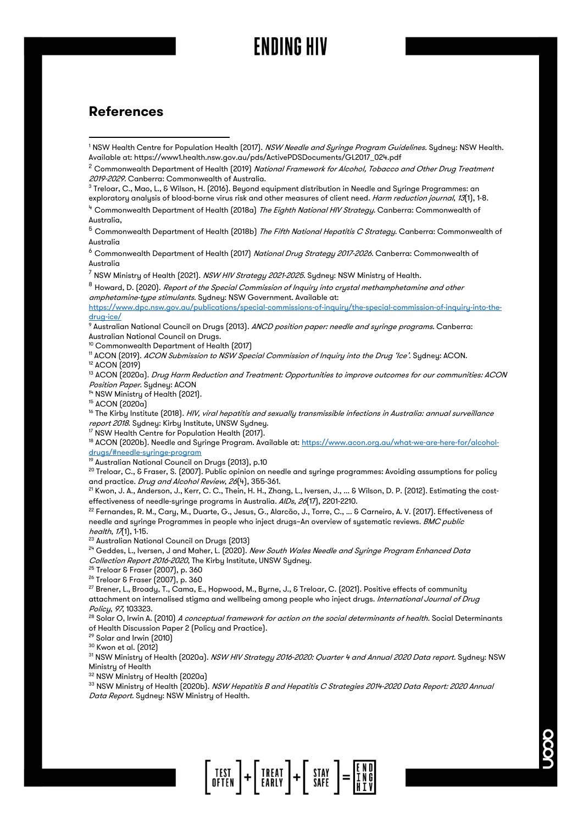### **References**

<sup>1</sup> NSW Health Centre for Population Health (2017). NSW Needle and Syringe Program Guidelines. Sydney: NSW Health. Available at: https://www1.health.nsw.gov.au/pds/ActivePDSDocuments/GL2017\_024.pdf

- $^3$ Treloar, C., Mao, L., & Wilson, H. (2016). Beyond equipment distribution in Needle and Syringe Programmes: an exploratory analysis of blood-borne virus risk and other measures of client need. Harm reduction journal, 13(1), 1-8.
- <sup>4</sup> Commonwealth Department of Health (2018a) *The Eighth National HIV Strategy.* Canberra: Commonwealth of Australia,

 $^5$  Commonwealth Department of Health (2018b) *The Fifth National Hepatitis C Strategy*. Canberra: Commonwealth of Australia

<sup>6</sup> Commonwealth Department of Health (2017) National Drug Strategy 2017-2026. Canberra: Commonwealth of Australia

 $^7$  NSW Ministry of Health (2021). NSW HIV Strategy 2021-2025. Sydney: NSW Ministry of Health.

<sup>8</sup> Howard, D. (2020). Report of the Special Commission of Inquiry into crystal methamphetamine and other amphetamine-type stimulants. Sydney: NSW Government. Available at:

[https://www.dpc.nsw.gov.au/publications/special-commissions-of-inquiry/the-special-commission-of-inquiry-into-the](https://www.dpc.nsw.gov.au/publications/special-commissions-of-inquiry/the-special-commission-of-inquiry-into-the-drug-ice/)[drug-ice/](https://www.dpc.nsw.gov.au/publications/special-commissions-of-inquiry/the-special-commission-of-inquiry-into-the-drug-ice/)

9 Australian National Council on Drugs (2013). ANCD position paper: needle and syringe programs. Canberra: Australian National Council on Drugs.

<sup>10</sup> Commonwealth Department of Health (2017)

<sup>11</sup> ACON (2019). ACON Submission to NSW Special Commission of Inquiry into the Drug 'Ice'. Sydney: ACON.

<sup>12</sup> ACON (2019)

<sup>13</sup> ACON (2020a). Drug Harm Reduction and Treatment: Opportunities to improve outcomes for our communities: ACON Position Paper. Sydney: ACON

<sup>14</sup> NSW Ministry of Health (2021).

<sup>15</sup> ACON (2020a)

<sup>16</sup> The Kirby Institute (2018). HIV, viral hepatitis and sexually transmissible infections in Australia: annual surveillance report 2018. Sydney: Kirby Institute, UNSW Sydney.

<sup>17</sup> NSW Health Centre for Population Health (2017).

<sup>18</sup> ACON (2020b). Needle and Syringe Program. Available at[: https://www.acon.org.au/what-we-are-here-for/alcohol](https://www.acon.org.au/what-we-are-here-for/alcohol-drugs/#needle-syringe-program)[drugs/#needle-syringe-program](https://www.acon.org.au/what-we-are-here-for/alcohol-drugs/#needle-syringe-program)

Australian National Council on Drugs (2013), p.10

 $^{20}$  Treloar, C., & Fraser, S. (2007). Public opinion on needle and syringe programmes: Avoiding assumptions for policy and practice. Drug and Alcohol Review, 26(4), 355-361.

<sup>21</sup> Kwon, J. A., Anderson, J., Kerr, C. C., Thein, H. H., Zhang, L., Iversen, J., ... & Wilson, D. P. [2012]. Estimating the costeffectiveness of needle-syringe programs in Australia. AIDs, 26(17), 2201-2210.

<sup>22</sup> Fernandes, R. M., Cary, M., Duarte, G., Jesus, G., Alarcão, J., Torre, C., ... & Carneiro, A. V. (2017). Effectiveness of needle and syringe Programmes in people who inject drugs-An overview of systematic reviews. BMC public health, 17(1), 1-15.

<sup>23</sup> Australian National Council on Drugs (2013)

 $2^{4}$  Geddes, L., Iversen, J and Maher, L. (2020). *New South Wales Needle and Syringe Program Enhanced Data* Collection Report 2016-2020, The Kirby Institute, UNSW Sydney.

<sup>25</sup> Treloar & Fraser (2007), p. 360

<sup>26</sup> Treloar & Fraser (2007), p. 360

<sup>27</sup> Brener, L., Broady, T., Cama, E., Hopwood, M., Byrne, J., & Treloar, C. (2021). Positive effects of community attachment on internalised stigma and wellbeing among people who inject drugs. International Journal of Drug Policy, <sup>97</sup>, 103323.

 $^{28}$  Solar O, Irwin A. (2010) *A conceptual framework for action on the social determinants of health.* Social Determinants of Health Discussion Paper 2 (Policy and Practice).

<sup>29</sup> Solar and Irwin (2010)

<sup>30</sup> Kwon et al. (2012)

31 NSW Ministry of Health (2020a). NSW HIV Strategy 2016-2020: Quarter 4 and Annual 2020 Data report. Sydney: NSW Ministry of Health

<sup>32</sup> NSW Ministry of Health (2020a)

<sup>33</sup> NSW Ministry of Health (2020b). *NSW Hepatitis B and Hepatitis C Strategies 2014-2020 Data Report: 2020 Annual* Data Report. Sydney: NSW Ministry of Health.



<sup>&</sup>lt;sup>2</sup> Commonwealth Department of Health (2019) National Framework for Alcohol, Tobacco and Other Drug Treatment 2019-2029. Canberra: Commonwealth of Australia.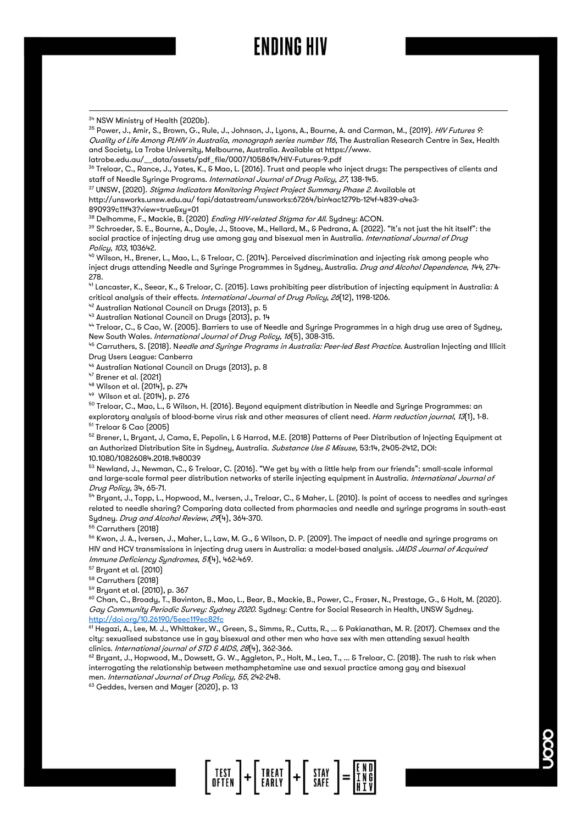#### 34 NSW Ministry of Health (2020b).

<sup>35</sup> Power, J., Amir, S., Brown, G., Rule, J., Johnson, J., Lyons, A., Bourne, A. and Carman, M., (2019). *HIV Futures 9:* Quality of Life Among PLHIV in Australia, monograph series number 116, The Australian Research Centre in Sex, Health and Society, La Trobe University, Melbourne, Australia. Available at https://www. latrobe.edu.au/\_\_data/assets/pdf\_file/0007/1058614/HIV-Futures-9.pdf

 $^{36}$  Treloar, C., Rance, J., Yates, K., & Mao, L. (2016). Trust and people who inject drugs: The perspectives of clients and staff of Needle Syringe Programs. International Journal of Drug Policy, 27, 138-145.

37 UNSW, (2020). Stigma Indicators Monitoring Project Project Summary Phase 2. Available at

http://unsworks.unsw.edu.au/ fapi/datastream/unsworks:67264/bin4ac1279b-124f-4839-a4e3-

890939c11f43?view=true&xy=01

 $38$  Delhomme, F., Mackie, B. (2020) *Ending HIV-related Stigma for All*. Sydney: ACON.

<sup>39</sup> Schroeder, S. E., Bourne, A., Doyle, J., Stoove, M., Hellard, M., & Pedrana, A. (2022). "It's not just the hit itself": the social practice of injecting drug use among gay and bisexual men in Australia. International Journal of Drug Policy, <sup>103</sup>, 103642.

<sup>40</sup> Wilson, H., Brener, L., Mao, L., & Treloar, C. (2014). Perceived discrimination and injecting risk among people who inject drugs attending Needle and Syringe Programmes in Sydney, Australia. Drug and Alcohol Dependence, 144, 274-278.

<sup>41</sup> Lancaster, K., Seear, K., & Treloar, C. (2015). Laws prohibiting peer distribution of injecting equipment in Australia: A critical analysis of their effects. International Journal of Drug Policy, 26(12), 1198-1206.

42 Australian National Council on Drugs (2013), p. 5

<sup>43</sup> Australian National Council on Drugs (2013), p. 14

<sup>44</sup> Treloar, C., & Cao, W. (2005). Barriers to use of Needle and Syringe Programmes in a high drug use area of Sydney, New South Wales. International Journal of Drug Policy, 16(5), 308-315.

<sup>45</sup> Carruthers, S. (2018). N*eedle and Syringe Programs in Australia: Peer-led Best Practice*. Australian Injecting and Illicit Drug Users League: Canberra

<sup>46</sup> Australian National Council on Drugs (2013), p. 8

<sup>47</sup> Brener et al. (2021)

<sup>48</sup> Wilson et al. (2014), p. 274

<sup>49</sup> Wilson et al. (2014), p. 276

 $50$  Treloar, C., Mao, L., & Wilson, H. (2016). Beyond equipment distribution in Needle and Syringe Programmes: an exploratory analysis of blood-borne virus risk and other measures of client need. Harm reduction journal, 13(1), 1-8. <sup>51</sup> Treloar & Cao (2005)

52 Brener, L, Bryant, J, Cama, E, Pepolin, L & Harrod, M.E. (2018) Patterns of Peer Distribution of Injecting Equipment at an Authorized Distribution Site in Sydney, Australia. Substance Use & Misuse, 53:14, 2405-2412, DOI: 10.1080/10826084.2018.1480039

 $53$  Newland, J., Newman, C., & Treloar, C. (2016). "We get by with a little help from our friends": small-scale informal and large-scale formal peer distribution networks of sterile injecting equipment in Australia. International Journal of Drug Policy, 34, 65-71.

 $^{54}$  Bryant, J., Topp, L., Hopwood, M., Iversen, J., Treloar, C., & Maher, L. (2010). Is point of access to needles and syringes related to needle sharing? Comparing data collected from pharmacies and needle and syringe programs in south‐east Sydney. Drug and Alcohol Review, 29(4), 364-370.

<sup>55</sup> Carruthers (2018)

<sup>56</sup> Kwon, J. A., Iversen, J., Maher, L., Law, M. G., & Wilson, D. P. (2009). The impact of needle and syringe programs on HIV and HCV transmissions in injecting drug users in Australia: a model-based analysis. JAIDS Journal of Acquired Immune Deficiency Syndromes, 51(4), 462-469.

<sup>57</sup> Bryant et al. (2010)

<sup>58</sup> Carruthers (2018)

<sup>59</sup> Bryant et al. (2010), p. 367

 $^{60}$  Chan, C., Broady, T., Bavinton, B., Mao, L., Bear, B., Mackie, B., Power, C., Fraser, N., Prestage, G., & Holt, M. (2020). Gay Community Periodic Survey: Sydney 2020. Sydney: Centre for Social Research in Health, UNSW Sydney. <http://doi.org/10.26190/5eec119ec82fc>

<sup>61</sup> Hegazi, A., Lee, M. J., Whittaker, W., Green, S., Simms, R., Cutts, R., ... & Pakianathan, M. R. (2017). Chemsex and the city: sexualised substance use in gay bisexual and other men who have sex with men attending sexual health clinics. International journal of STD & AIDS, 28(4), 362-366.

<sup>62</sup> Bryant, J., Hopwood, M., Dowsett, G. W., Aggleton, P., Holt, M., Lea, T., ... & Treloar, C. (2018). The rush to risk when interrogating the relationship between methamphetamine use and sexual practice among gay and bisexual men. International Journal of Drug Policy, <sup>55</sup>, 242-248.

<sup>63</sup> Geddes, Iversen and Mayer (2020), p. 13

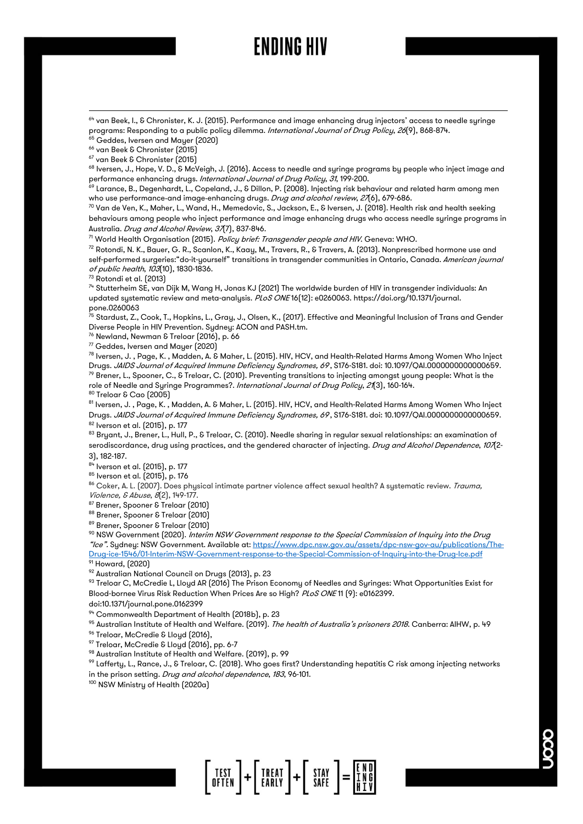<sup>66</sup> van Beek & Chronister (2015)

<sup>67</sup> van Beek & Chronister (2015)

 $^{68}$  Iversen, J., Hope, V. D.,  $\rm \hat{S}$  McVeigh, J. (2016). Access to needle and syringe programs by people who inject image and performance enhancing drugs. International Journal of Drug Policy, <sup>31</sup>, 199-200.

<sup>69</sup> Larance, B., Degenhardt, L., Copeland, J., & Dillon, P. (2008). Injecting risk behaviour and related harm among men who use performance-and image-enhancing drugs. Drug and alcohol review, 27(6), 679-686.

<sup>70</sup> Van de Ven, K., Maher, L., Wand, H., Memedovic, S., Jackson, E., & Iversen, J. (2018). Health risk and health seeking behaviours among people who inject performance and image enhancing drugs who access needle syringe programs in Australia. Drug and Alcohol Review, 37(7), 837-846.

71 World Health Organisation (2015). Policy brief: Transgender people and HIV. Geneva: WHO.

 $72$  Rotondi, N. K., Bauer, G. R., Scanlon, K., Kaay, M., Travers, R., & Travers, A. (2013). Nonprescribed hormone use and self-performed surgeries: "do-it-yourself" transitions in transgender communities in Ontario, Canada. American journal of public health, <sup>103</sup>(10), 1830-1836.

 $73$  Rotondi et al. (2013)

 $^{74}$  Stutterheim SE, van Dijk M, Wang H, Jonas KJ (2021) The worldwide burden of HIV in transgender individuals: An updated systematic review and meta-analysis. PLoS ONE16(12): e0260063. https://doi.org/10.1371/journal. pone.0260063

 $^{75}$  Stardust, Z., Cook, T., Hopkins, L., Gray, J., Olsen, K., (2017). Effective and Meaningful Inclusion of Trans and Gender Diverse People in HIV Prevention. Sydney: ACON and PASH.tm.

<sup>76</sup> Newland, Newman & Treloar (2016), p. 66

 $77$  Geddes, Iversen and Mayer (2020)

<sup>78</sup> Iversen, J. , Page, K. , Madden, A. & Maher, L. (2015). HIV, HCV, and Health-Related Harms Among Women Who Inject Drugs. JAIDS Journal of Acquired Immune Deficiency Syndromes, 69, S176-S181. doi: 10.1097/QAI.000000000000659.  $^{79}$  Brener, L., Spooner, C., & Treloar, C. (2010). Preventing transitions to injecting amongst young people: What is the role of Needle and Syringe Programmes?. International Journal of Drug Policy, 21(3), 160-164. <sup>80</sup> Treloar & Cao (2005)

<sup>81</sup> Iversen, J. , Page, K. , Madden, A. & Maher, L. (2015). HIV, HCV, and Health-Related Harms Among Women Who Inject Drugs. JAIDS Journal of Acquired Immune Deficiency Syndromes, 69, S176-S181. doi: 10.1097/QAI.0000000000000659. <sup>82</sup> Iverson et al. (2015), p. 177

 $^{83}$  Bryant, J., Brener, L., Hull, P., & Treloar, C. (2010). Needle sharing in regular sexual relationships: an examination of serodiscordance, drug using practices, and the gendered character of injecting. Drug and Alcohol Dependence, 107(2-3), 182-187.

84 Iverson et al. (2015), p. 177

<sup>85</sup> Iverson et al. (2015), p. 176

86 Coker, A. L. (2007). Does physical intimate partner violence affect sexual health? A systematic review. Trauma, Violence, & Abuse, 8(2), 149-177.

87 Brener, Spooner & Treloar (2010)

88 Brener, Spooner & Treloar (2010)

89 Brener, Spooner & Treloar (2010)

 $90$  NSW Government (2020). Interim NSW Government response to the Special Commission of Inquiry into the Drug "Ice". Sydney: NSW Government. Available at[: https://www.dpc.nsw.gov.au/assets/dpc-nsw-gov-au/publications/The-](https://www.dpc.nsw.gov.au/assets/dpc-nsw-gov-au/publications/The-Drug-ice-1546/01-Interim-NSW-Government-response-to-the-Special-Commission-of-Inquiry-into-the-Drug-Ice.pdf)[Drug-ice-1546/01-Interim-NSW-Government-response-to-the-Special-Commission-of-Inquiry-into-the-Drug-Ice.pdf](https://www.dpc.nsw.gov.au/assets/dpc-nsw-gov-au/publications/The-Drug-ice-1546/01-Interim-NSW-Government-response-to-the-Special-Commission-of-Inquiry-into-the-Drug-Ice.pdf) <sup>91</sup> Howard, (2020)

<sup>92</sup> Australian National Council on Drugs (2013), p. 23

 $^{93}$  Treloar C, McCredie L, Lloyd AR (2016) The Prison Economy of Needles and Syringes: What Opportunities Exist for Blood-bornee Virus Risk Reduction When Prices Are so High? PLoS ONE11 [9]: e0162399.

doi:10.1371/journal.pone.0162399

<sup>94</sup> Commonwealth Department of Health (2018b), p. 23

 $^{95}$  Australian Institute of Health and Welfare. (2019). *The health of Australia's prisoners 2018*. Canberra: AIHW, p. 49 <sup>96</sup> Treloar, McCredie & Lloyd (2016),

<sup>97</sup> Treloar, McCredie & Lloyd (2016), pp. 6-7

<sup>98</sup> Australian Institute of Health and Welfare. (2019), p. 99

 $^{\circ\circ}$  Lafferty, L., Rance, J., & Treloar, C. (2018). Who goes first? Understanding hepatitis C risk among injecting networks in the prison setting. Drug and alcohol dependence, 183, 96-101.

<sup>100</sup> NSW Ministry of Health (2020a)

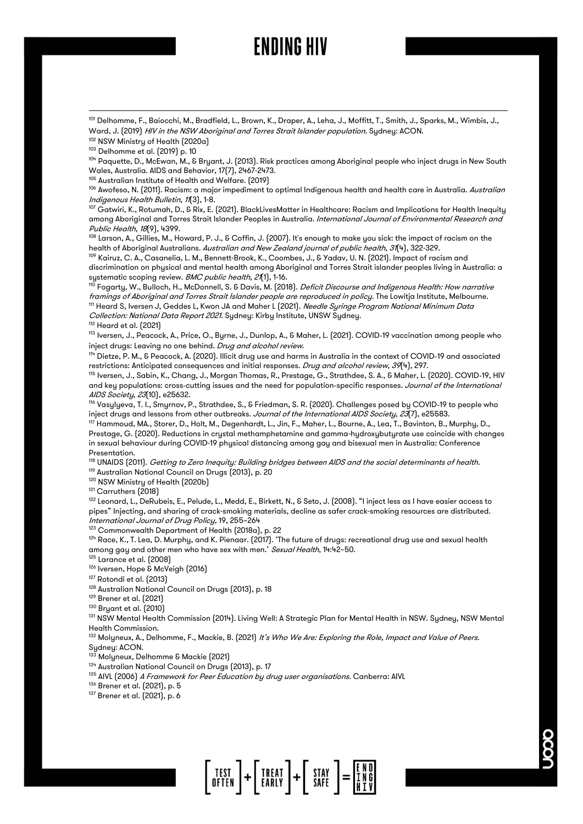<sup>102</sup> NSW Ministry of Health (2020a)

<sup>103</sup> Delhomme et al. (2019) p. 10

 $104}$  Paquette, D., McEwan, M., & Bryant, J. (2013). Risk practices among Aboriginal people who inject drugs in New South Wales, Australia. AIDS and Behavior, 17(7), 2467-2473.

<sup>105</sup> Australian Institute of Health and Welfare. (2019)

<sup>106</sup> Awofeso, N. (2011). Racism: a major impediment to optimal Indigenous health and health care in Australia. *Australian* Indigenous Health Bulletin, <sup>11</sup>(3), 1-8.

 $^{107}$  Gatwiri, K., Rotumah, D., & Rix, E. (2021). BlackLivesMatter in Healthcare: Racism and Implications for Health Inequity among Aboriginal and Torres Strait Islander Peoples in Australia. International Journal of Environmental Research and Public Health, 18(9), 4399.

 $^{108}$  Larson, A., Gillies, M., Howard, P. J., & Coffin, J. (2007). It's enough to make you sick: the impact of racism on the health of Aboriginal Australians. Australian and New Zealand journal of public health, 31(4), 322-329.

<sup>109</sup> Kairuz, C. A., Casanelia, L. M., Bennett-Brook, K., Coombes, J., & Yadav, U. N. (2021). Impact of racism and discrimination on physical and mental health among Aboriginal and Torres Strait islander peoples living in Australia: a systematic scoping review. BMC public health, 21(1), 1-16.

<sup>110</sup> Fogarty, W., Bulloch, H., McDonnell, S. & Davis, M. (2018). *Deficit Discourse and Indigenous Health: How narrative* framings of Aboriginal and Torres Strait Islander people are reproduced in policy. The Lowitja Institute, Melbourne. <sup>111</sup> Heard S, Iversen J, Geddes L, Kwon JA and Maher L (2021). *Needle Syringe Program National Minimum Data* Collection: National Data Report 2021. Sydney: Kirby Institute, UNSW Sydney. <sup>112</sup> Heard et al. (2021)

<sup>113</sup> Iversen, J., Peacock, A., Price, O., Byrne, J., Dunlop, A., & Maher, L. (2021). COVID‐19 vaccination among people who inject drugs: Leaving no one behind. Drug and alcohol review.

<sup>114</sup> Dietze, P. M., & Peacock, A. (2020). Illicit drug use and harms in Australia in the context of COVID‐19 and associated restrictions: Anticipated consequences and initial responses. Drug and alcohol review, 39(4), 297.

<sup>115</sup> Iversen, J., Sabin, K., Chang, J., Morgan Thomas, R., Prestage, G., Strathdee, S. A., & Maher, L. (2020). COVID‐19, HIV and key populations: cross-cutting issues and the need for population-specific responses. Journal of the International AIDS Society, 23(10), e25632.

<sup>116</sup> Vasylyeva, T. I., Smyrnov, P., Strathdee, S., & Friedman, S. R. (2020). Challenges posed by COVID‐19 to people who inject drugs and lessons from other outbreaks. Journal of the International AIDS Society, 23(7), e25583.

117 Hammoud, MA., Storer, D., Holt, M., Degenhardt, L., Jin, F., Maher, L., Bourne, A., Lea, T., Bavinton, B., Murphy, D., Prestage, G. (2020). Reductions in crystal methamphetamine and gamma-hydroxybutyrate use coincide with changes in sexual behaviour during COVID-19 physical distancing among gay and bisexual men in Australia: Conference Presentation.

 $^{\text{118}}$  UNAIDS (2011). *Getting to Zero Inequity: Building bridges between AIDS and the social determinants of health*. <sup>119</sup> Australian National Council on Drugs (2013), p. 20

<sup>120</sup> NSW Ministry of Health (2020b)

<sup>121</sup> Carruthers (2018)

<sup>122</sup> Leonard, L., DeRubeis, E., Pelude, L., Medd, E., Birkett, N., & Seto, J. (2008). "I inject less as I have easier access to pipes" Injecting, and sharing of crack-smoking materials, decline as safer crack-smoking resources are distributed. International Journal of Drug Policy, 19, 255–264

<sup>123</sup> Commonwealth Department of Health (2018a), p. 22

 $124$  Race, K., T. Lea, D. Murphy, and K. Pienaar. (2017). 'The future of drugs: recreational drug use and sexual health among gay and other men who have sex with men.' Sexual Health, 14:42-50.

<sup>125</sup> Larance et al. (2008)

<sup>126</sup> Iversen, Hope & McVeigh (2016)

127 Rotondi et al. (2013)

<sup>128</sup> Australian National Council on Drugs (2013), p. 18

<sup>129</sup> Brener et al. (2021)

<sup>130</sup> Bryant et al. (2010)

<sup>131</sup> NSW Mental Health Commission (2014). Living Well: A Strategic Plan for Mental Health in NSW. Sydney, NSW Mental Health Commission.

<sup>132</sup> Molyneux, A., Delhomme, F., Mackie, B. (2021) It's Who We Are: Exploring the Role, Impact and Value of Peers. Sydney: ACON.

<sup>133</sup> Molyneux, Delhomme & Mackie (2021)

134 Australian National Council on Drugs (2013), p. 17

<sup>135</sup> AIVL (2006) A Framework for Peer Education by drug user organisations. Canberra: AIVL

<sup>136</sup> Brener et al. (2021), p. 5

<sup>137</sup> Brener et al. (2021), p. 6